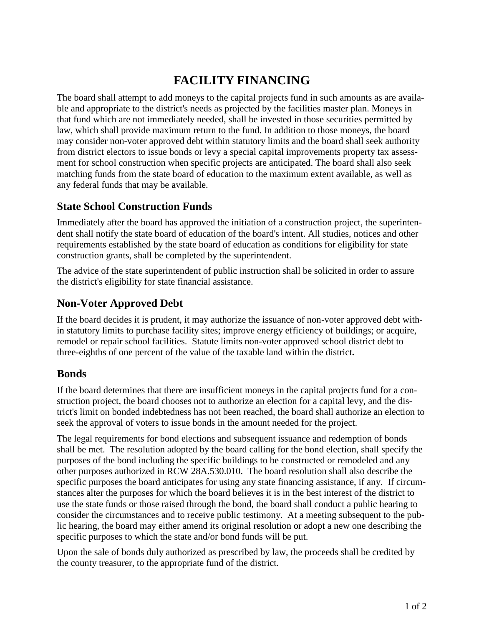## **FACILITY FINANCING**

The board shall attempt to add moneys to the capital projects fund in such amounts as are available and appropriate to the district's needs as projected by the facilities master plan. Moneys in that fund which are not immediately needed, shall be invested in those securities permitted by law, which shall provide maximum return to the fund. In addition to those moneys, the board may consider non-voter approved debt within statutory limits and the board shall seek authority from district electors to issue bonds or levy a special capital improvements property tax assessment for school construction when specific projects are anticipated. The board shall also seek matching funds from the state board of education to the maximum extent available, as well as any federal funds that may be available.

## **State School Construction Funds**

Immediately after the board has approved the initiation of a construction project, the superintendent shall notify the state board of education of the board's intent. All studies, notices and other requirements established by the state board of education as conditions for eligibility for state construction grants, shall be completed by the superintendent.

The advice of the state superintendent of public instruction shall be solicited in order to assure the district's eligibility for state financial assistance.

## **Non-Voter Approved Debt**

If the board decides it is prudent, it may authorize the issuance of non-voter approved debt within statutory limits to purchase facility sites; improve energy efficiency of buildings; or acquire, remodel or repair school facilities. Statute limits non-voter approved school district debt to three-eighths of one percent of the value of the taxable land within the district**.**

## **Bonds**

If the board determines that there are insufficient moneys in the capital projects fund for a construction project, the board chooses not to authorize an election for a capital levy, and the district's limit on bonded indebtedness has not been reached, the board shall authorize an election to seek the approval of voters to issue bonds in the amount needed for the project.

The legal requirements for bond elections and subsequent issuance and redemption of bonds shall be met. The resolution adopted by the board calling for the bond election, shall specify the purposes of the bond including the specific buildings to be constructed or remodeled and any other purposes authorized in RCW 28A.530.010. The board resolution shall also describe the specific purposes the board anticipates for using any state financing assistance, if any. If circumstances alter the purposes for which the board believes it is in the best interest of the district to use the state funds or those raised through the bond, the board shall conduct a public hearing to consider the circumstances and to receive public testimony. At a meeting subsequent to the public hearing, the board may either amend its original resolution or adopt a new one describing the specific purposes to which the state and/or bond funds will be put.

Upon the sale of bonds duly authorized as prescribed by law, the proceeds shall be credited by the county treasurer, to the appropriate fund of the district.